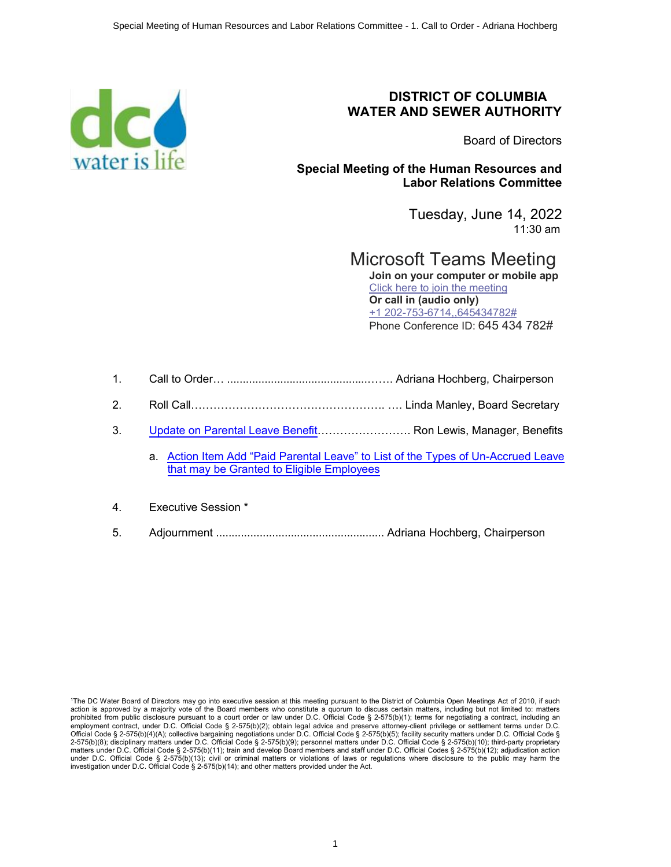

#### **DISTRICT OF COLUMBIA WATER AND SEWER AUTHORITY**

Board of Directors

**Special Meeting of the Human Resources and Labor Relations Committee** 

> Tuesday, June 14, 2022 11:30 am

Microsoft Teams Meeting **Join on your computer or mobile app** [Click here to join the meeting](https://teams.microsoft.com/l/meetup-join/19%3ameeting_ZjdkODZhYWEtMmRhMS00YjdkLTg1MDUtMWE2NzYwNjc2NTc2%40thread.v2/0?context=%7b%22Tid%22%3a%228d05cdc4-bf69-4e6a-b5d3-428050a7f00f%22%2c%22Oid%22%3a%223cdba86a-83b7-4d93-8cca-49f0133385af%22%7d) **Or call in (audio only)** +1 202-753-6714,,645434782#

Phone Conference ID: 645 434 782#

- 1. Call to Order… .............................................……. Adriana Hochberg, Chairperson
- 2. Roll Call……………………………………………. …. Linda Manley, Board Secretary
- 3. [Update on Parental Leave Benefit…](#page-1-0)…………………. Ron Lewis, Manager, Benefits
	- a. [Action Item Add "Paid Parental Leave" to List of the Types of Un-Accrued Leave](#page-10-0) [that may be Granted to Eligible Employees](#page-10-0)
- 4. Executive Session \*
- 5. Adjournment ...................................................... Adriana Hochberg, Chairperson

<sup>1</sup> The DC Water Board of Directors may go into executive session at this meeting pursuant to the District of Columbia Open Meetings Act of 2010, if such action is approved by a majority vote of the Board members who constitute a quorum to discuss certain matters, including but not limited to: matters<br>prohibited from public disclosure pursuant to a court order or law under Official Code § 2-575(b)(4)(A); collective bargaining negotiations under D.C. Official Code § 2-575(b)(5); facility security matters under D.C. Official Code § 2-575(b)(8); disciplinary matters under D.C. Official Code § 2-575(b)(9); personnel matters under D.C. Official Code § 2-575(b)(10); third-party proprietary matters under D.C. Official Code § 2-575(b)(11); train and develop Board members and staff under D.C. Official Codes § 2-575(b)(12); adjudication action under D.C. Official Code § 2-575(b)(13); civil or criminal matters or violations of laws or regulations where disclosure to the public may harm the investigation under D.C. Official Code  $\S$  2-575(b)(14); and other matters provided under the Act.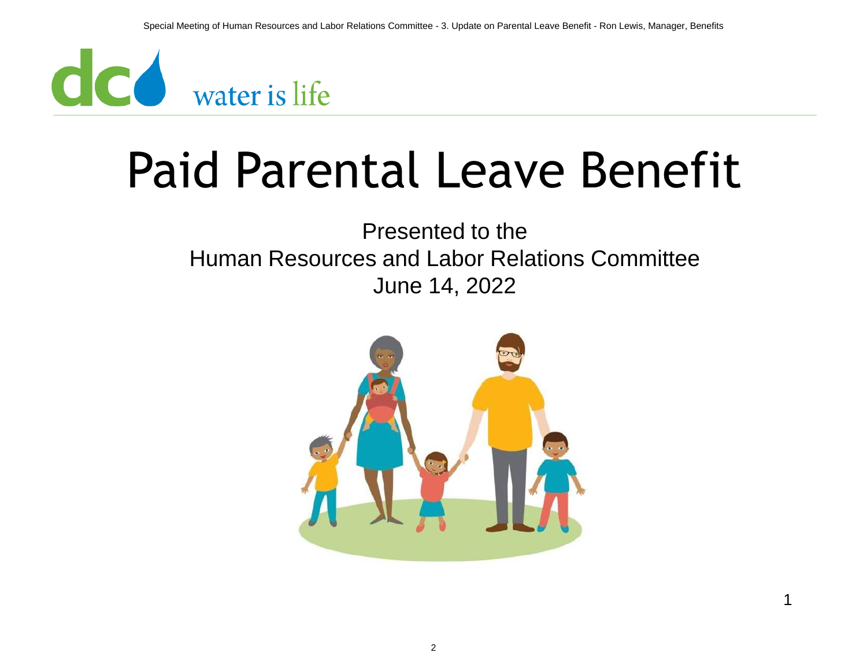<span id="page-1-0"></span>

### Paid Parental Leave Benefit

#### Presented to the Human Resources and Labor Relations Committee June 14, 2022



1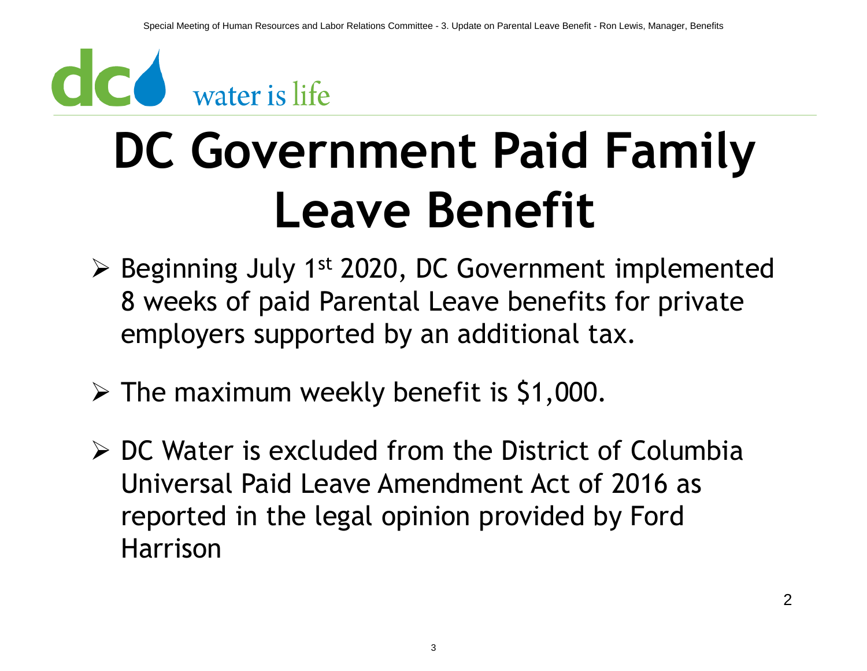# **CC** water is life

## **DC Government Paid Family Leave Benefit**

- ➢ Beginning July 1st 2020, DC Government implemented 8 weeks of paid Parental Leave benefits for private employers supported by an additional tax.
- $\triangleright$  The maximum weekly benefit is \$1,000.
- ➢ DC Water is excluded from the District of Columbia Universal Paid Leave Amendment Act of 2016 as reported in the legal opinion provided by Ford Harrison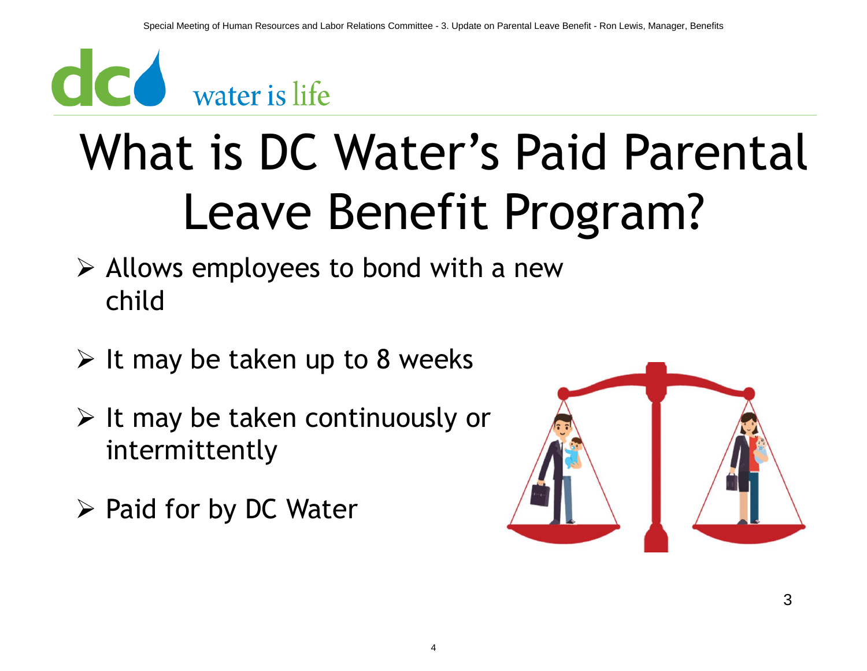

## What is DC Water's Paid Parental Leave Benefit Program?

- ➢ Allows employees to bond with a new child
- $\triangleright$  It may be taken up to 8 weeks
- $\triangleright$  It may be taken continuously or intermittently
- ➢ Paid for by DC Water

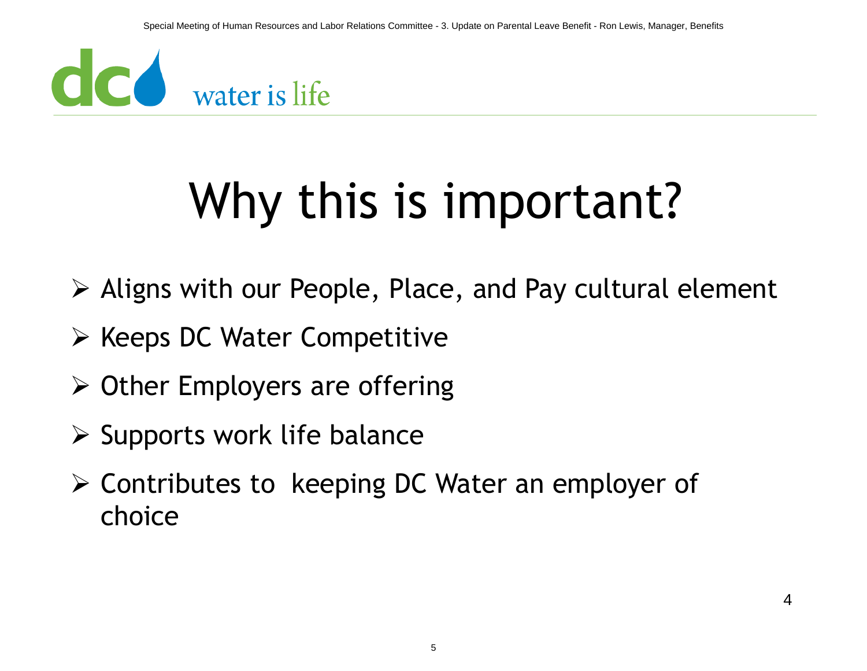

## Why this is important?

- ➢ Aligns with our People, Place, and Pay cultural element
- ➢ Keeps DC Water Competitive
- ➢ Other Employers are offering
- $\triangleright$  Supports work life balance
- ➢ Contributes to keeping DC Water an employer of choice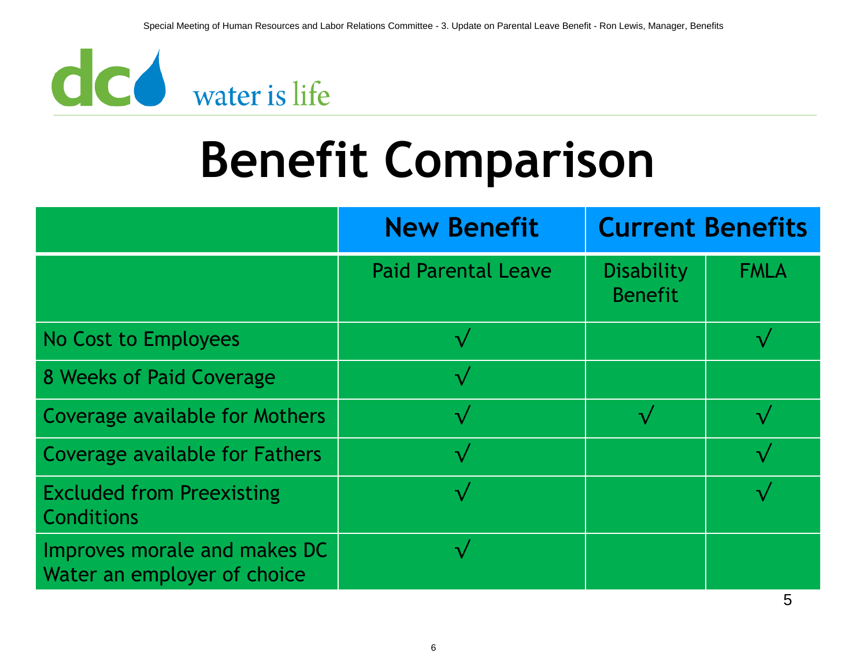

### **Benefit Comparison**

|                                                             | <b>New Benefit</b>         | <b>Current Benefits</b>             |             |
|-------------------------------------------------------------|----------------------------|-------------------------------------|-------------|
|                                                             | <b>Paid Parental Leave</b> | <b>Disability</b><br><b>Benefit</b> | <b>FMLA</b> |
| No Cost to Employees                                        | $\overline{\mathsf{v}}$    |                                     |             |
| 8 Weeks of Paid Coverage                                    | $\overline{\mathcal{A}}$   |                                     |             |
| Coverage available for Mothers                              |                            |                                     |             |
| Coverage available for Fathers                              |                            |                                     |             |
| <b>Excluded from Preexisting</b><br><b>Conditions</b>       |                            |                                     |             |
| Improves morale and makes DC<br>Water an employer of choice |                            |                                     |             |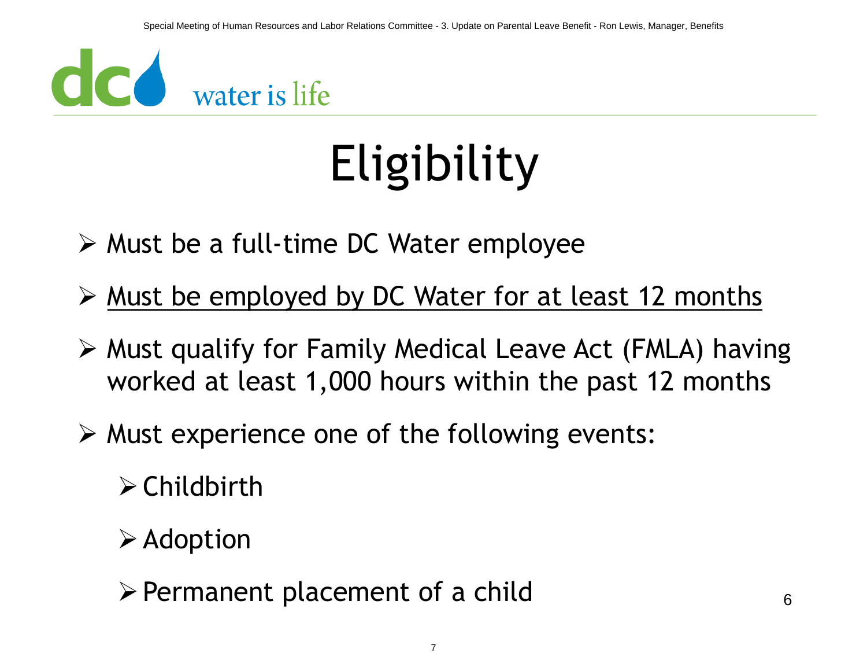

## Eligibility

- ➢ Must be a full-time DC Water employee
- ➢ Must be employed by DC Water for at least 12 months
- ➢ Must qualify for Family Medical Leave Act (FMLA) having worked at least 1,000 hours within the past 12 months
- $\triangleright$  Must experience one of the following events:
	- ➢Childbirth
	- $\triangleright$  Adoption
	- $\triangleright$  Permanent placement of a child 6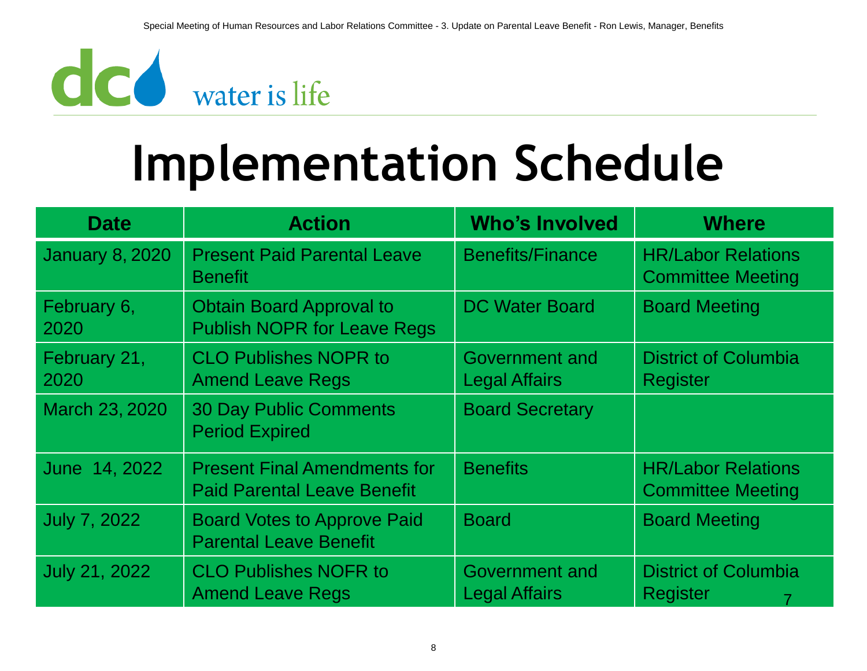

### **Implementation Schedule**

| <b>Date</b>            | <b>Action</b>                                                             | <b>Who's Involved</b>                  | <b>Where</b>                                          |
|------------------------|---------------------------------------------------------------------------|----------------------------------------|-------------------------------------------------------|
| <b>January 8, 2020</b> | <b>Present Paid Parental Leave</b><br><b>Benefit</b>                      | <b>Benefits/Finance</b>                | <b>HR/Labor Relations</b><br><b>Committee Meeting</b> |
| February 6,<br>2020    | <b>Obtain Board Approval to</b><br><b>Publish NOPR for Leave Regs</b>     | <b>DC Water Board</b>                  | <b>Board Meeting</b>                                  |
| February 21,<br>2020   | <b>CLO Publishes NOPR to</b><br><b>Amend Leave Regs</b>                   | Government and<br><b>Legal Affairs</b> | <b>District of Columbia</b><br><b>Register</b>        |
| March 23, 2020         | <b>30 Day Public Comments</b><br><b>Period Expired</b>                    | <b>Board Secretary</b>                 |                                                       |
| June 14, 2022          | <b>Present Final Amendments for</b><br><b>Paid Parental Leave Benefit</b> | <b>Benefits</b>                        | <b>HR/Labor Relations</b><br><b>Committee Meeting</b> |
| <b>July 7, 2022</b>    | <b>Board Votes to Approve Paid</b><br><b>Parental Leave Benefit</b>       | <b>Board</b>                           | <b>Board Meeting</b>                                  |
| July 21, 2022          | <b>CLO Publishes NOFR to</b><br><b>Amend Leave Regs</b>                   | Government and<br><b>Legal Affairs</b> | <b>District of Columbia</b><br><b>Register</b>        |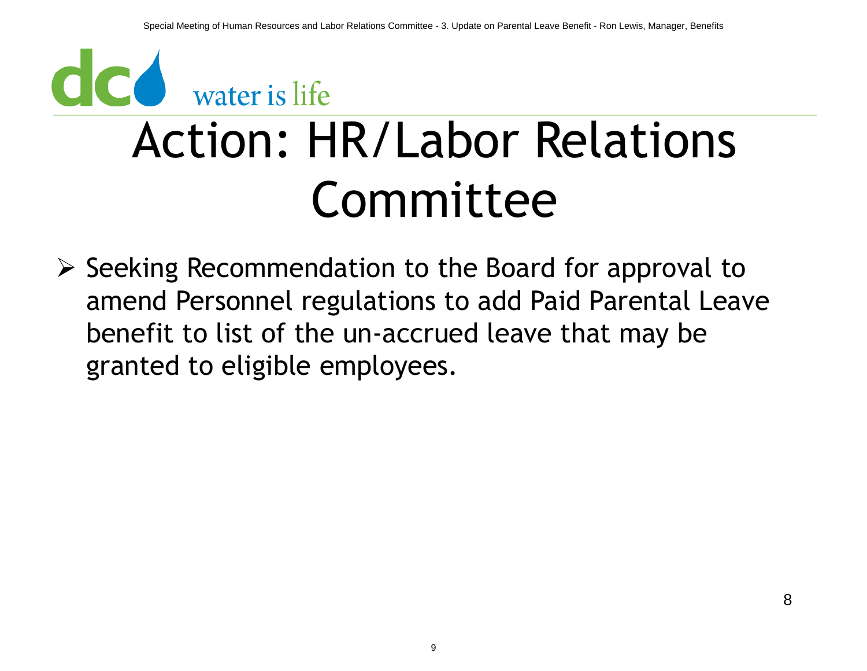### CO water is life Action: HR/Labor Relations Committee

➢ Seeking Recommendation to the Board for approval to amend Personnel regulations to add Paid Parental Leave benefit to list of the un-accrued leave that may be granted to eligible employees.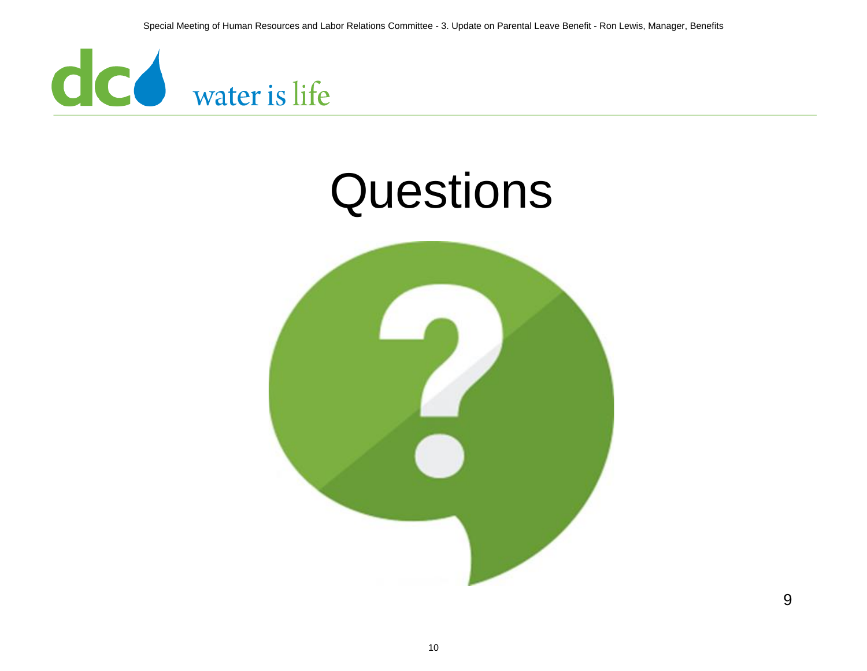

#### **Questions**



9